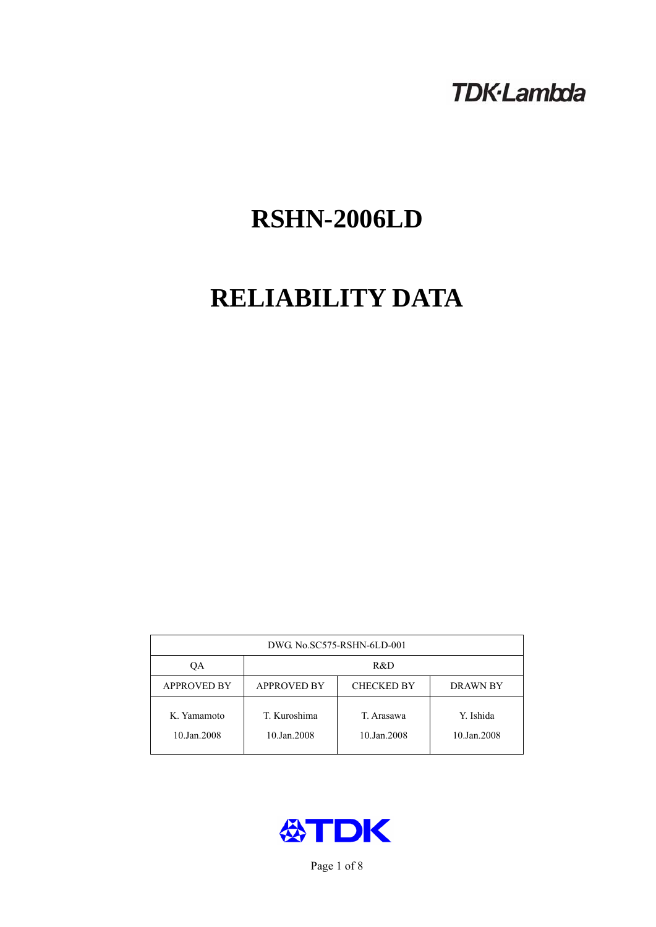# **TDK-Lambda**

# **RSHN-2006LD**

# **RELIABILITY DATA**

| DWG. No.SC575-RSHN-6LD-001 |                                                     |                           |                          |  |  |
|----------------------------|-----------------------------------------------------|---------------------------|--------------------------|--|--|
| OА                         | R&D                                                 |                           |                          |  |  |
| <b>APPROVED BY</b>         | <b>APPROVED BY</b><br><b>CHECKED BY</b><br>DRAWN BY |                           |                          |  |  |
| K. Yamamoto<br>10.Jan.2008 | T. Kuroshima<br>10.Jan.2008                         | T. Arasawa<br>10.Jan.2008 | Y. Ishida<br>10.Jan.2008 |  |  |



Page 1 of 8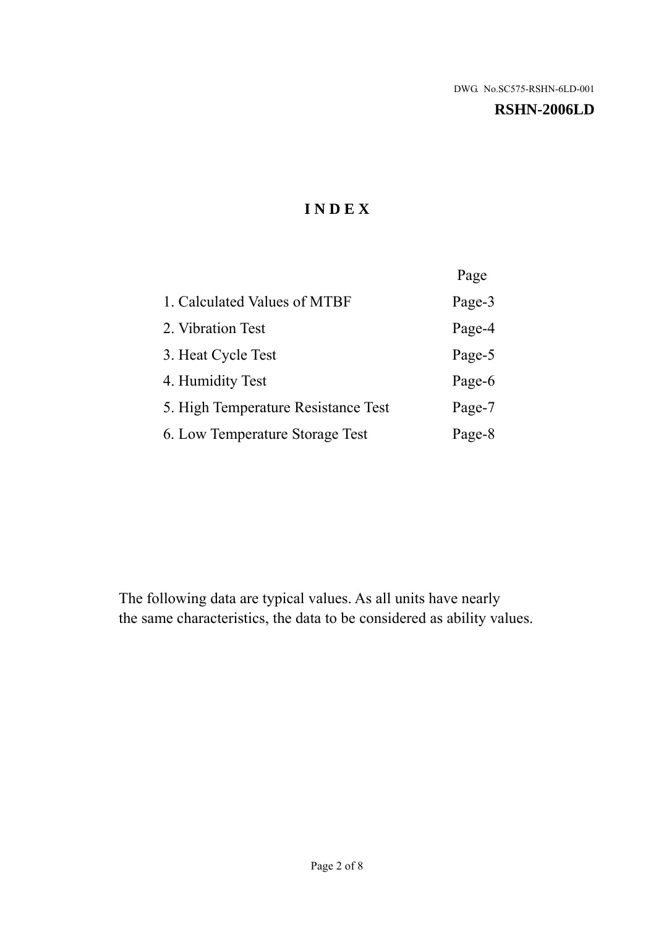#### **RSHN-2006LD**

# **I N D E X**

|                                     | Page   |
|-------------------------------------|--------|
| 1. Calculated Values of MTBF        | Page-3 |
| 2. Vibration Test                   | Page-4 |
| 3. Heat Cycle Test                  | Page-5 |
| 4. Humidity Test                    | Page-6 |
| 5. High Temperature Resistance Test | Page-7 |
| 6. Low Temperature Storage Test     | Page-8 |

The following data are typical values. As all units have nearly the same characteristics, the data to be considered as ability values.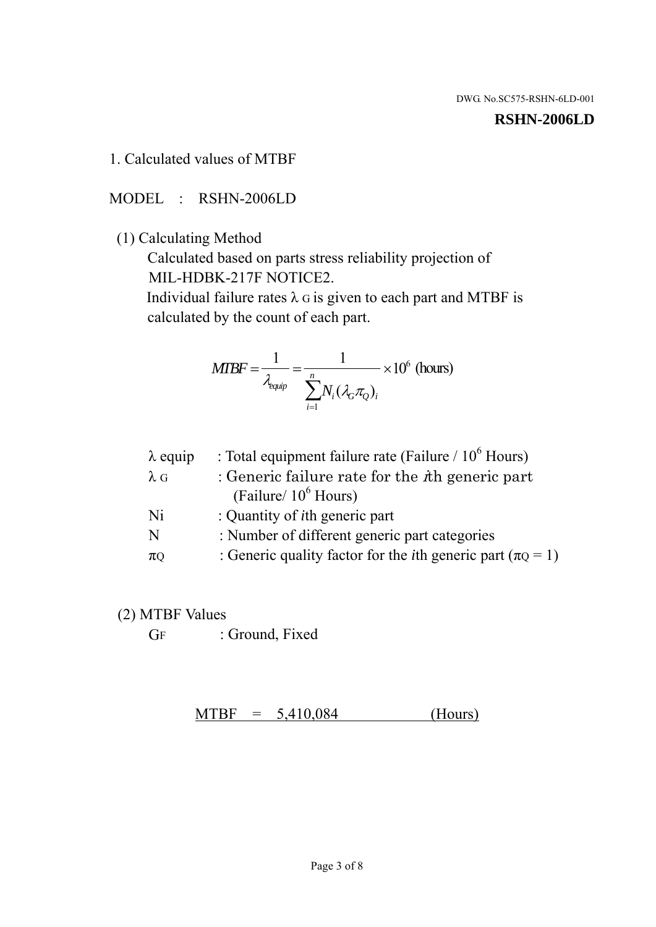#### **RSHN-2006LD**

### 1. Calculated values of MTBF

MODEL : RSHN-2006LD

(1) Calculating Method

 Calculated based on parts stress reliability projection of MIL-HDBK-217F NOTICE2.

Individual failure rates  $\lambda$  G is given to each part and MTBF is calculated by the count of each part.

$$
MTBF = \frac{1}{\lambda_{\text{equip}}} = \frac{1}{\sum_{i=1}^{n} N_i (\lambda_G \pi_Q)_i} \times 10^6 \text{ (hours)}
$$

| : Total equipment failure rate (Failure / $10^6$ Hours)                   |
|---------------------------------------------------------------------------|
| : Generic failure rate for the $\hbar$ generic part                       |
| (Failure/ $10^6$ Hours)                                                   |
| : Quantity of <i>i</i> th generic part                                    |
| : Number of different generic part categories                             |
| : Generic quality factor for the <i>i</i> th generic part ( $\pi Q = 1$ ) |
|                                                                           |

- (2) MTBF Values
	- GF : Ground, Fixed

 $MTBF = 5,410,084$  (Hours)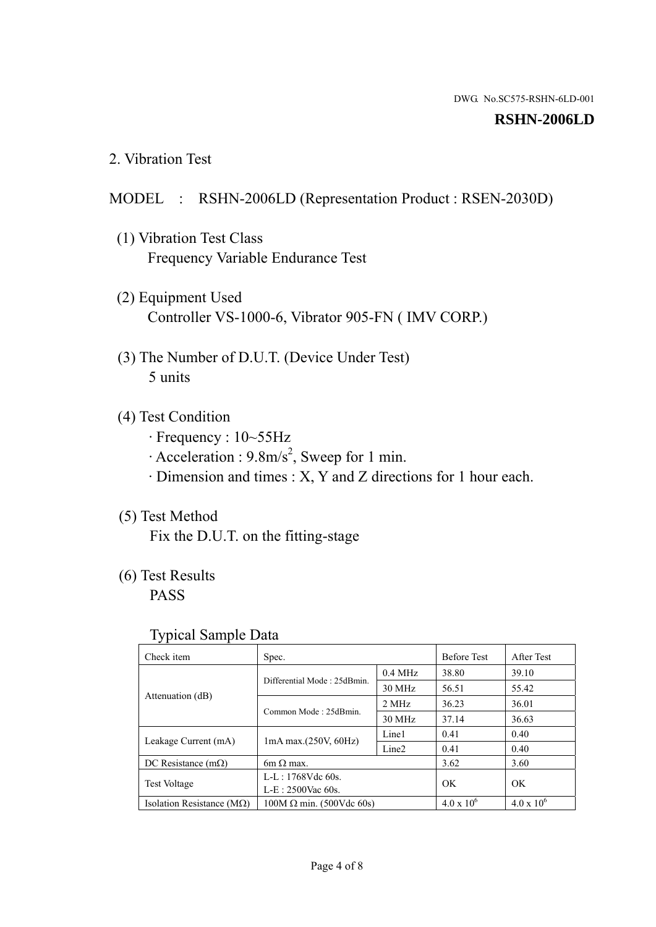#### **RSHN-2006LD**

2. Vibration Test

### MODEL : RSHN-2006LD (Representation Product : RSEN-2030D)

- (1) Vibration Test Class Frequency Variable Endurance Test
- (2) Equipment Used Controller VS-1000-6, Vibrator 905-FN ( IMV CORP.)
- (3) The Number of D.U.T. (Device Under Test) 5 units
- (4) Test Condition
	- · Frequency : 10~55Hz
	- $\cdot$  Acceleration : 9.8m/s<sup>2</sup>, Sweep for 1 min.
	- · Dimension and times : X, Y and Z directions for 1 hour each.

# (5) Test Method

Fix the D.U.T. on the fitting-stage

# (6) Test Results

PASS

#### Typical Sample Data

| . .                           |                                 |                   |                     |                     |
|-------------------------------|---------------------------------|-------------------|---------------------|---------------------|
| Check item                    | Spec.                           |                   | <b>Before Test</b>  | After Test          |
| Attenuation (dB)              | Differential Mode: 25dBmin.     | $0.4$ MHz         | 38.80               | 39.10               |
|                               |                                 | 30 MHz            | 56.51               | 55.42               |
|                               | Common Mode: 25dBmin.           | 2 MHz             | 36.23               | 36.01               |
|                               |                                 | 30 MHz            | 37.14               | 36.63               |
| Leakage Current (mA)          | $1mA$ max. $(250V, 60Hz)$       | Line1             | 0.41                | 0.40                |
|                               |                                 | Line <sub>2</sub> | 0.41                | 0.40                |
| DC Resistance $(m\Omega)$     | $6m \Omega$ max.                |                   | 3.62                | 3.60                |
| <b>Test Voltage</b>           | $L-L: 1768Vdc$ 60s.             |                   | OK                  | OK.                 |
|                               | $L-E$ : 2500Vac 60s.            |                   |                     |                     |
| Isolation Resistance ( $MQ$ ) | $100M \Omega$ min. (500Vdc 60s) |                   | $4.0 \times 10^{6}$ | $4.0 \times 10^{6}$ |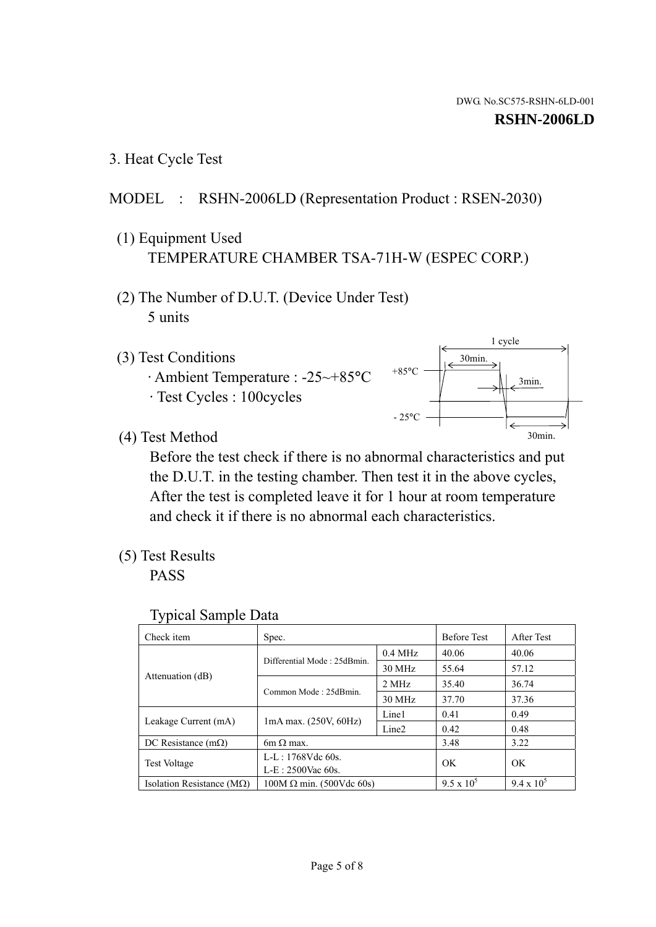1 cycle

30min.

3min.

30min.

3. Heat Cycle Test

# MODEL : RSHN-2006LD (Representation Product : RSEN-2030)

- (1) Equipment Used TEMPERATURE CHAMBER TSA-71H-W (ESPEC CORP.)
- (2) The Number of D.U.T. (Device Under Test) 5 units
- (3) Test Conditions
	- · Ambient Temperature : -25~+85°C · Test Cycles : 100cycles
- (4) Test Method

 Before the test check if there is no abnormal characteristics and put the D.U.T. in the testing chamber. Then test it in the above cycles, After the test is completed leave it for 1 hour at room temperature and check it if there is no abnormal each characteristics.

 $+85$ °C

 $-25$ °C

(5) Test Results

PASS

| <b>Typical Sample Data</b> |  |  |
|----------------------------|--|--|
|----------------------------|--|--|

| Check item                    | Spec.                           |                   | <b>Before Test</b> | After Test        |
|-------------------------------|---------------------------------|-------------------|--------------------|-------------------|
|                               | Differential Mode: 25dBmin.     | $0.4$ MHz         | 40.06              | 40.06             |
|                               |                                 | 30 MHz            | 55.64              | 57.12             |
| Attenuation (dB)              | Common Mode: 25dBmin.           | 2 MHz             | 35.40              | 36.74             |
|                               |                                 | 30 MHz            | 37.70              | 37.36             |
| Leakage Current (mA)          | $1mA$ max. $(250V, 60Hz)$       | Line1             | 0.41               | 0.49              |
|                               |                                 | Line <sub>2</sub> | 0.42               | 0.48              |
| DC Resistance $(m\Omega)$     | $6m \Omega$ max.                |                   | 3.48               | 3.22              |
| <b>Test Voltage</b>           | $L-L: 1768Vdc$ 60s.             |                   | OK                 | OK                |
|                               | L-E: 2500Vac 60s.               |                   |                    |                   |
| Isolation Resistance ( $MQ$ ) | $100M \Omega$ min. (500Vdc 60s) |                   | $9.5 \times 10^5$  | $9.4 \times 10^5$ |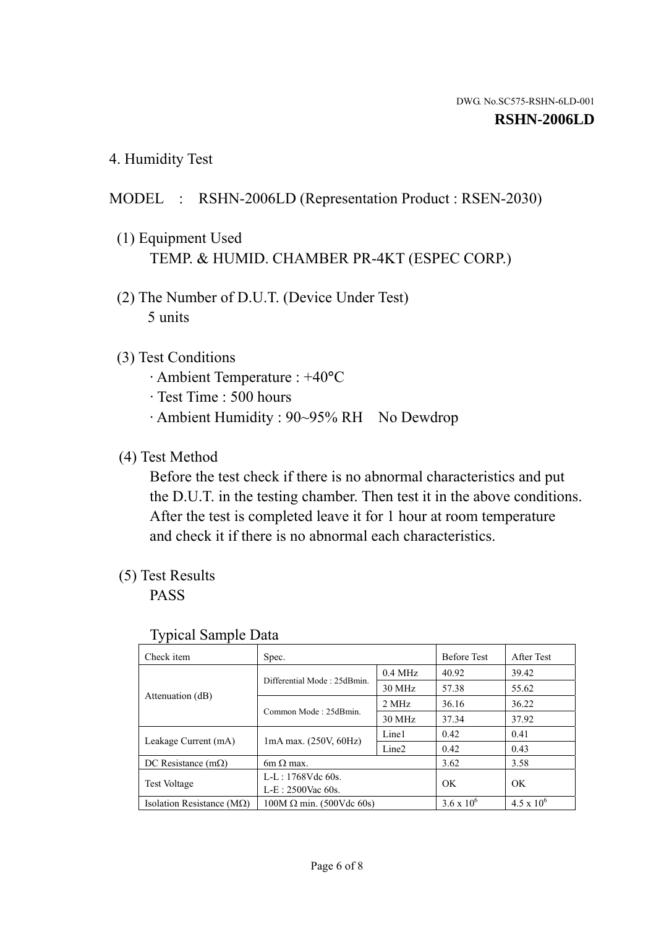4. Humidity Test

# MODEL : RSHN-2006LD (Representation Product : RSEN-2030)

- (1) Equipment Used TEMP. & HUMID. CHAMBER PR-4KT (ESPEC CORP.)
- (2) The Number of D.U.T. (Device Under Test) 5 units

# (3) Test Conditions

- · Ambient Temperature : +40°C
- · Test Time : 500 hours
- · Ambient Humidity : 90~95% RH No Dewdrop

### (4) Test Method

 Before the test check if there is no abnormal characteristics and put the D.U.T. in the testing chamber. Then test it in the above conditions. After the test is completed leave it for 1 hour at room temperature and check it if there is no abnormal each characteristics.

# (5) Test Results

PASS

| ╯┸                                 |                                 |                   |                     |                     |
|------------------------------------|---------------------------------|-------------------|---------------------|---------------------|
| Check item                         | Spec.                           |                   | <b>Before Test</b>  | After Test          |
| Attenuation (dB)                   | Differential Mode: 25dBmin.     | $0.4$ MHz         | 40.92               | 39.42               |
|                                    |                                 | 30 MHz            | 57.38               | 55.62               |
|                                    | Common Mode: 25dBmin.           | 2 MHz             | 36.16               | 36.22               |
|                                    |                                 | 30 MHz            | 37.34               | 37.92               |
| Leakage Current (mA)               | $1mA$ max. $(250V, 60Hz)$       | Line1             | 0.42                | 0.41                |
|                                    |                                 | Line <sub>2</sub> | 0.42                | 0.43                |
| DC Resistance $(m\Omega)$          | 6m $\Omega$ max.                |                   | 3.62                | 3.58                |
| <b>Test Voltage</b>                | $L-L: 1768Vdc$ 60s.             |                   | OK                  | OK                  |
|                                    | $L-E: 2500$ Vac 60s.            |                   |                     |                     |
| Isolation Resistance ( $M\Omega$ ) | $100M \Omega$ min. (500Vdc 60s) |                   | $3.6 \times 10^{6}$ | $4.5 \times 10^{6}$ |

#### Typical Sample Data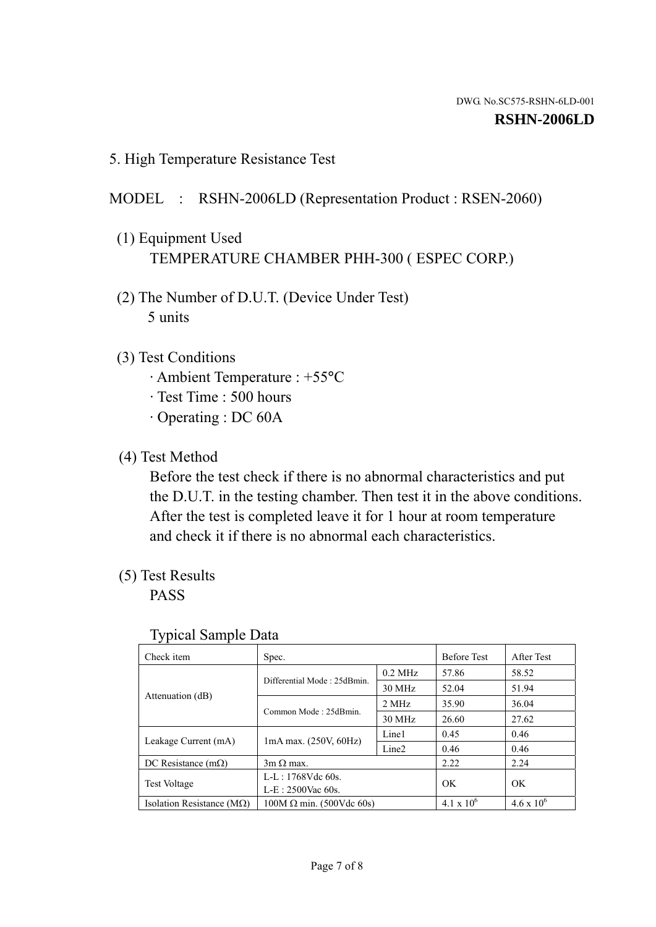5. High Temperature Resistance Test

# MODEL : RSHN-2006LD (Representation Product : RSEN-2060)

- (1) Equipment Used TEMPERATURE CHAMBER PHH-300 ( ESPEC CORP.)
- (2) The Number of D.U.T. (Device Under Test) 5 units
- (3) Test Conditions
	- · Ambient Temperature : +55°C
	- · Test Time : 500 hours
	- · Operating : DC 60A
- (4) Test Method

 Before the test check if there is no abnormal characteristics and put the D.U.T. in the testing chamber. Then test it in the above conditions. After the test is completed leave it for 1 hour at room temperature and check it if there is no abnormal each characteristics.

(5) Test Results

PASS

| J 1                                |                                 |                   |                     |                     |
|------------------------------------|---------------------------------|-------------------|---------------------|---------------------|
| Check item                         | Spec.                           |                   | <b>Before Test</b>  | After Test          |
|                                    | Differential Mode: 25dBmin.     | $0.2$ MHz         | 57.86               | 58.52               |
|                                    |                                 | 30 MHz            | 52.04               | 51.94               |
| Attenuation (dB)                   | Common Mode: 25dBmin.           | 2 MHz             | 35.90               | 36.04               |
|                                    |                                 | 30 MHz            | 26.60               | 27.62               |
| Leakage Current (mA)               | $1mA$ max. $(250V, 60Hz)$       | Line1             | 0.45                | 0.46                |
|                                    |                                 | Line <sub>2</sub> | 0.46                | 0.46                |
| DC Resistance $(m\Omega)$          | $3m \Omega$ max.                |                   | 2.22                | 2.24                |
| <b>Test Voltage</b>                | $L-L: 1768Vdc$ 60s.             |                   | OK                  |                     |
|                                    | $L-E: 2500$ Vac 60s.            |                   |                     | OK                  |
| Isolation Resistance ( $M\Omega$ ) | $100M \Omega$ min. (500Vdc 60s) |                   | $4.1 \times 10^{6}$ | $4.6 \times 10^{6}$ |

#### Typical Sample Data